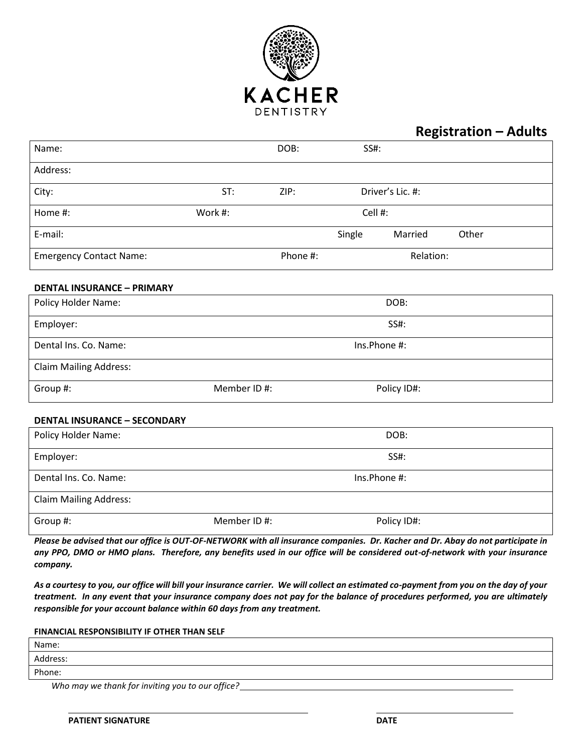

#### **Registration – Adults**

| Name:                               |             | DOB:     | SS#:    |                  |       |
|-------------------------------------|-------------|----------|---------|------------------|-------|
| Address:                            |             |          |         |                  |       |
| City:                               | ST:         | ZIP:     |         | Driver's Lic. #: |       |
| Home #:                             | Work #:     |          | Cell #: |                  |       |
| E-mail:                             |             |          | Single  | Married          | Other |
| <b>Emergency Contact Name:</b>      |             | Phone #: |         | Relation:        |       |
| <b>DENTAL INSURANCE - PRIMARY</b>   |             |          |         |                  |       |
| Policy Holder Name:                 |             |          |         | DOB:             |       |
| Employer:                           |             |          |         | SS#:             |       |
| Dental Ins. Co. Name:               |             |          |         | Ins.Phone #:     |       |
| <b>Claim Mailing Address:</b>       |             |          |         |                  |       |
| Group #:                            | Member ID#: |          |         | Policy ID#:      |       |
| <b>DENTAL INSURANCE - SECONDARY</b> |             |          |         |                  |       |
| Policy Holder Name:                 |             |          |         | DOB:             |       |
| Employer:                           |             |          |         | <b>SS#:</b>      |       |
| Dental Ins. Co. Name:               |             |          |         | Ins.Phone #:     |       |
| <b>Claim Mailing Address:</b>       |             |          |         |                  |       |
| Group #:                            | Member ID#: |          |         | Policy ID#:      |       |

*Please be advised that our office is OUT-OF-NETWORK with all insurance companies. Dr. Kacher and Dr. Abay do not participate in any PPO, DMO or HMO plans. Therefore, any benefits used in our office will be considered out-of-network with your insurance company.*

*As a courtesy to you, our office will bill your insurance carrier. We will collect an estimated co-payment from you on the day of your treatment. In any event that your insurance company does not pay for the balance of procedures performed, you are ultimately responsible for your account balance within 60 days from any treatment.*

#### **FINANCIAL RESPONSIBILITY IF OTHER THAN SELF**

| Name:    |  |
|----------|--|
| Address: |  |
| Phone:   |  |
|          |  |

*Who may we thank for inviting you to our office?*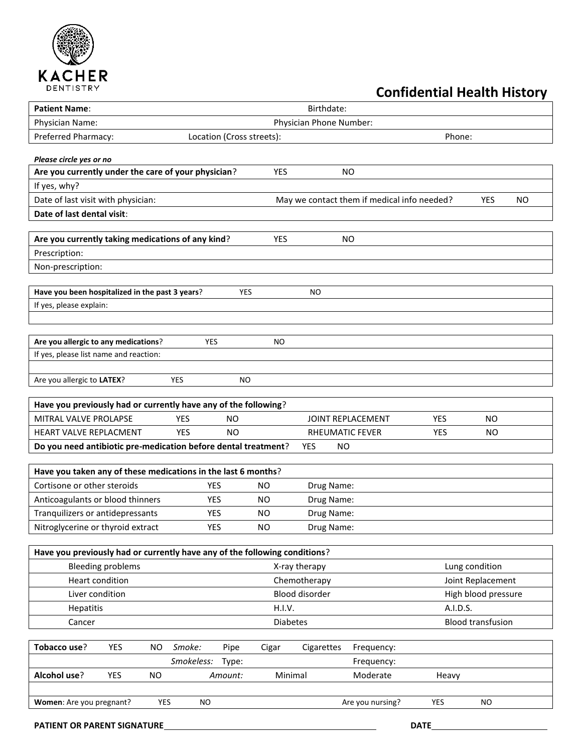

## **Confidential Health History**

| <b>Patient Name:</b>                                                       |                         |                                       |                 | Birthdate:        |                                             |            |                          |  |
|----------------------------------------------------------------------------|-------------------------|---------------------------------------|-----------------|-------------------|---------------------------------------------|------------|--------------------------|--|
| Physician Name:                                                            | Physician Phone Number: |                                       |                 |                   |                                             |            |                          |  |
| Preferred Pharmacy:                                                        |                         | Location (Cross streets):             |                 |                   |                                             | Phone:     |                          |  |
| Please circle yes or no                                                    |                         |                                       |                 |                   |                                             |            |                          |  |
| Are you currently under the care of your physician?                        |                         |                                       | YES             |                   | <b>NO</b>                                   |            |                          |  |
| If yes, why?                                                               |                         |                                       |                 |                   |                                             |            |                          |  |
| Date of last visit with physician:                                         |                         |                                       |                 |                   | May we contact them if medical info needed? |            | <b>YES</b><br><b>NO</b>  |  |
| Date of last dental visit:                                                 |                         |                                       |                 |                   |                                             |            |                          |  |
|                                                                            |                         |                                       |                 |                   |                                             |            |                          |  |
| Are you currently taking medications of any kind?                          |                         |                                       | YES             |                   | <b>NO</b>                                   |            |                          |  |
| Prescription:                                                              |                         |                                       |                 |                   |                                             |            |                          |  |
| Non-prescription:                                                          |                         |                                       |                 |                   |                                             |            |                          |  |
|                                                                            |                         |                                       |                 |                   |                                             |            |                          |  |
| Have you been hospitalized in the past 3 years?                            |                         | <b>YES</b>                            |                 | ΝO                |                                             |            |                          |  |
| If yes, please explain:                                                    |                         |                                       |                 |                   |                                             |            |                          |  |
|                                                                            |                         |                                       |                 |                   |                                             |            |                          |  |
| Are you allergic to any medications?                                       | YES                     |                                       | NO.             |                   |                                             |            |                          |  |
| If yes, please list name and reaction:                                     |                         |                                       |                 |                   |                                             |            |                          |  |
|                                                                            |                         |                                       |                 |                   |                                             |            |                          |  |
| Are you allergic to LATEX?                                                 | <b>YES</b>              | NO                                    |                 |                   |                                             |            |                          |  |
|                                                                            |                         |                                       |                 |                   |                                             |            |                          |  |
| Have you previously had or currently have any of the following?            |                         |                                       |                 |                   |                                             |            |                          |  |
| MITRAL VALVE PROLAPSE                                                      | <b>YES</b>              | <b>NO</b>                             |                 |                   | JOINT REPLACEMENT                           | YES        | <b>NO</b>                |  |
| HEART VALVE REPLACMENT                                                     | <b>YES</b>              | <b>NO</b>                             |                 | RHEUMATIC FEVER   |                                             | <b>YES</b> | <b>NO</b>                |  |
| Do you need antibiotic pre-medication before dental treatment?             |                         |                                       |                 | <b>YES</b><br>NO. |                                             |            |                          |  |
| Have you taken any of these medications in the last 6 months?              |                         |                                       |                 |                   |                                             |            |                          |  |
| Cortisone or other steroids                                                | <b>YES</b>              |                                       | <b>NO</b>       | Drug Name:        |                                             |            |                          |  |
| Anticoagulants or blood thinners                                           | YES                     |                                       | <b>NO</b>       | Drug Name:        |                                             |            |                          |  |
| Tranquilizers or antidepressants                                           | YES                     |                                       | <b>NO</b>       | Drug Name:        |                                             |            |                          |  |
| Nitroglycerine or thyroid extract                                          | <b>YES</b>              |                                       | <b>NO</b>       | Drug Name:        |                                             |            |                          |  |
|                                                                            |                         |                                       |                 |                   |                                             |            |                          |  |
| Have you previously had or currently have any of the following conditions? |                         |                                       |                 |                   |                                             |            |                          |  |
| <b>Bleeding problems</b>                                                   |                         |                                       |                 | X-ray therapy     |                                             |            | Lung condition           |  |
| Heart condition                                                            |                         | Joint Replacement<br>Chemotherapy     |                 |                   |                                             |            |                          |  |
| Liver condition                                                            |                         | Blood disorder<br>High blood pressure |                 |                   |                                             |            |                          |  |
| Hepatitis                                                                  | H.I.V.                  |                                       |                 | A.I.D.S.          |                                             |            |                          |  |
| Cancer                                                                     |                         |                                       | <b>Diabetes</b> |                   |                                             |            | <b>Blood transfusion</b> |  |
|                                                                            |                         |                                       |                 |                   |                                             |            |                          |  |
| Tobacco use?<br><b>YES</b><br><b>NO</b>                                    | Smoke:                  | Pipe                                  | Cigar           | Cigarettes        | Frequency:                                  |            |                          |  |
|                                                                            | Smokeless:              | Type:                                 |                 |                   | Frequency:                                  |            |                          |  |
| Alcohol use?<br>YES<br><b>NO</b>                                           |                         | Amount:                               | Minimal         |                   | Moderate                                    | Heavy      |                          |  |
|                                                                            |                         |                                       |                 |                   |                                             |            |                          |  |
| Women: Are you pregnant?                                                   | YES<br>NO.              |                                       |                 |                   | Are you nursing?                            | <b>YES</b> | NO.                      |  |
| PATIENT OR PARENT SIGNATURE                                                |                         |                                       |                 |                   |                                             | DATE       |                          |  |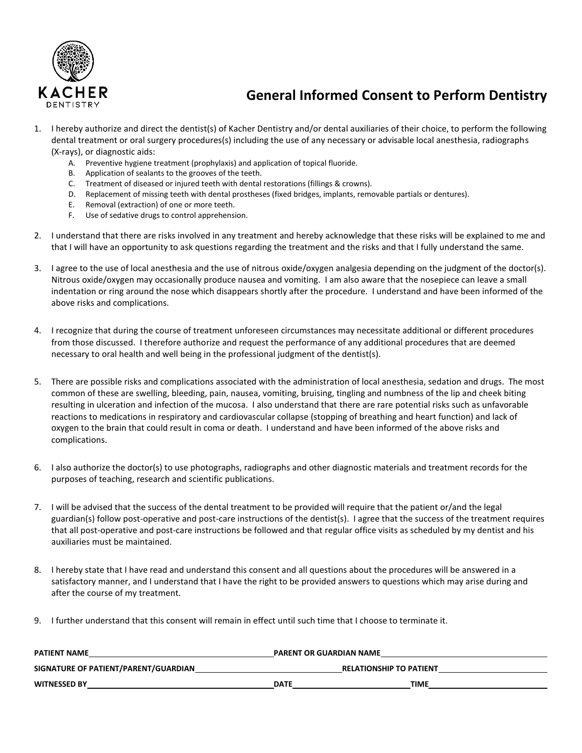

### **General Informed Consent to Perform Dentistry**

- 1. I hereby authorize and direct the dentist(s) of Kacher Dentistry and/or dental auxiliaries of their choice, to perform the following dental treatment or oral surgery procedures(s) including the use of any necessary or advisable local anesthesia, radiographs (X-rays), or diagnostic aids:
	- A. Preventive hygiene treatment (prophylaxis) and application of topical fluoride.
	- B. Application of sealants to the grooves of the teeth.
	- C. Treatment of diseased or injured teeth with dental restorations (fillings & crowns).
	- D. Replacement of missing teeth with dental prostheses (fixed bridges, implants, removable partials or dentures).
	- E. Removal (extraction) of one or more teeth.
	- F. Use of sedative drugs to control apprehension.
- 2. I understand that there are risks involved in any treatment and hereby acknowledge that these risks will be explained to me and that I will have an opportunity to ask questions regarding the treatment and the risks and that I fully understand the same.
- 3. I agree to the use of local anesthesia and the use of nitrous oxide/oxygen analgesia depending on the judgment of the doctor(s). Nitrous oxide/oxygen may occasionally produce nausea and vomiting. I am also aware that the nosepiece can leave a small indentation or ring around the nose which disappears shortly after the procedure. I understand and have been informed of the above risks and complications.
- 4. I recognize that during the course of treatment unforeseen circumstances may necessitate additional or different procedures from those discussed. I therefore authorize and request the performance of any additional procedures that are deemed necessary to oral health and well being in the professional judgment of the dentist(s).
- 5. There are possible risks and complications associated with the administration of local anesthesia, sedation and drugs. The most common of these are swelling, bleeding, pain, nausea, vomiting, bruising, tingling and numbness of the lip and cheek biting resulting in ulceration and infection of the mucosa. I also understand that there are rare potential risks such as unfavorable reactions to medications in respiratory and cardiovascular collapse (stopping of breathing and heart function) and lack of oxygen to the brain that could result in coma or death. I understand and have been informed of the above risks and complications.
- 6. I also authorize the doctor(s) to use photographs, radiographs and other diagnostic materials and treatment records for the purposes of teaching, research and scientific publications.
- 7. I will be advised that the success of the dental treatment to be provided will require that the patient or/and the legal guardian(s) follow post-operative and post-care instructions of the dentist(s). I agree that the success of the treatment requires that all post-operative and post-care instructions be followed and that regular office visits as scheduled by my dentist and his auxiliaries must be maintained.
- 8. I hereby state that I have read and understand this consent and all questions about the procedures will be answered in a satisfactory manner, and I understand that I have the right to be provided answers to questions which may arise during and after the course of my treatment.
- 9. I further understand that this consent will remain in effect until such time that I choose to terminate it.

| <b>PATIENT NAME</b>                  | <b>PARENT OR GUARDIAN NAME</b> |  |  |
|--------------------------------------|--------------------------------|--|--|
| SIGNATURE OF PATIENT/PARENT/GUARDIAN | <b>RELATIONSHIP TO PATIENT</b> |  |  |
| <b>WITNESSED BY</b>                  | <b>TIME</b><br><b>DATE</b>     |  |  |